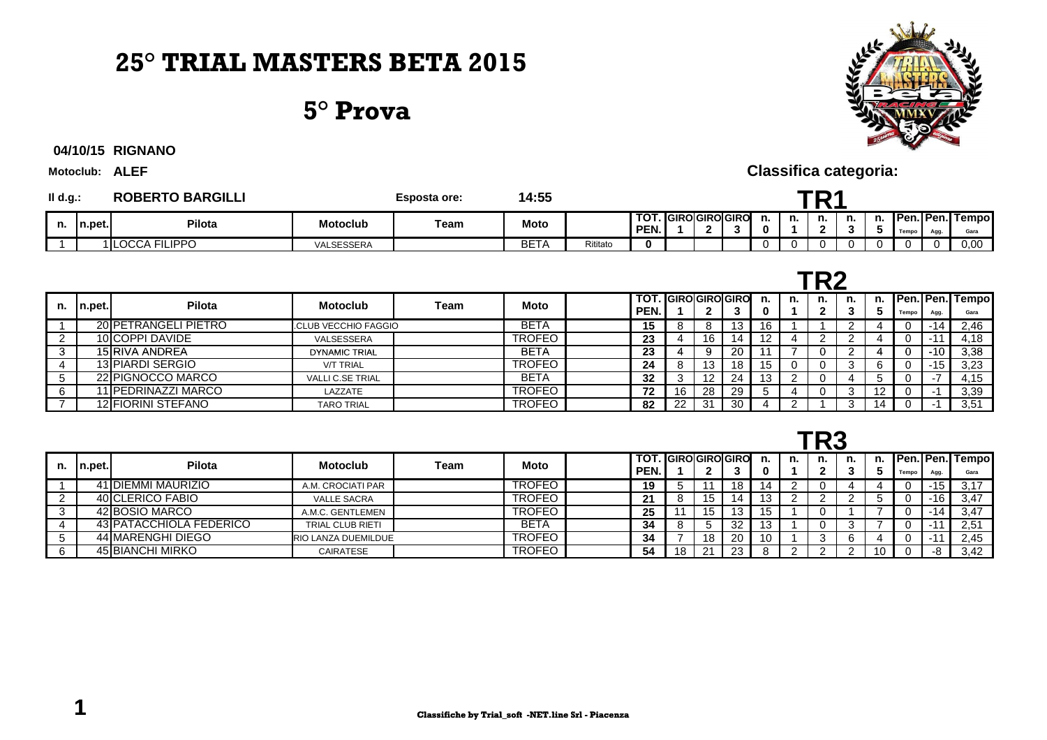# **25° TRIAL MASTERS BETA 2015**

#### **5° Prova**



**RIGNANO04/10/15**

**Motoclub: ALEF**

| II d.g.: |         | <b>ROBERTO BARGILLI</b> |            | <b>Esposta ore:</b> | 14:55       |          |                                  |  |  |  |    |    |         |    |    |       |      |                         |
|----------|---------|-------------------------|------------|---------------------|-------------|----------|----------------------------------|--|--|--|----|----|---------|----|----|-------|------|-------------------------|
| n.       | In.pet. | <b>Pilota</b>           | Motoclub   | Team                | <b>Moto</b> |          | <b>TOT. GIROGIROGIRO</b><br>PEN. |  |  |  | п. | n. | n.<br>- | n. | n. | Tempo | Agg. | Pen. Pen. Tempo<br>Gara |
|          |         | 1 LOCCA FILIPPO         | VALSESSERA |                     | BET/        | Rititato |                                  |  |  |  |    | 0  |         |    |    |       |      | 0,00                    |

|    |        |                      |                            |      |               |      | ГБЬ |    |                      |    |    |    |    |    |          |       |       |                         |
|----|--------|----------------------|----------------------------|------|---------------|------|-----|----|----------------------|----|----|----|----|----|----------|-------|-------|-------------------------|
| n. | n.pet. | <b>Pilota</b>        | <b>Motoclub</b>            | Team | Moto          | PEN. |     |    | TOT. IGIROIGIROIGIRO | 3  | n. | n. | n. | n. | n.<br>-3 | Tempo | Agg.  | Pen. Pen. Tempo<br>Gara |
|    |        | 20 PETRANGELI PIETRO | <b>CLUB VECCHIO FAGGIO</b> |      | <b>BETA</b>   |      | 15  |    |                      | 13 | 16 |    |    |    |          |       | -14   | 2,46                    |
|    |        | 10 COPPI DAVIDE      | VALSESSERA                 |      | <b>TROFEO</b> |      | 23  |    | 16                   | 14 |    |    |    |    |          |       |       | 4.18                    |
|    |        | 15 RIVA ANDREA       | <b>DYNAMIC TRIAL</b>       |      | <b>BETA</b>   |      | 23  |    | 9                    | 20 |    |    |    |    |          |       | $-10$ | 3,38                    |
|    |        | 13 PIARDI SERGIO     | <b>V/T TRIAL</b>           |      | <b>TROFEO</b> |      | 24  |    | 13                   | 18 | 15 |    |    |    |          |       | $-15$ | 3,23                    |
|    |        | 22 PIGNOCCO MARCO    | <b>VALLI C.SE TRIAL</b>    |      | <b>BETA</b>   |      | 32  |    | 12                   | 24 | 13 |    |    |    |          |       |       | 4,15                    |
|    |        | 11 PEDRINAZZI MARCO  | LAZZATE                    |      | <b>TROFEO</b> |      | 72  | 16 | 28                   | 29 |    |    |    |    | 12       |       |       | 3,39                    |
|    |        | 12 FIORINI STEFANO   | <b>TARO TRIAL</b>          |      | <b>TROFEO</b> |      | 82  | າາ | 31                   | 30 |    |    |    |    | 14       |       |       | 3,51                    |

|--|--|

**Classifica categoria:**

|    |        |                         |                            |      |               | - - - - |              |    |                   |     |    |  |    |    |  |       |      |                                 |
|----|--------|-------------------------|----------------------------|------|---------------|---------|--------------|----|-------------------|-----|----|--|----|----|--|-------|------|---------------------------------|
| n. | n.pet. | <b>Pilota</b>           | <b>Motoclub</b>            | Team | <b>Moto</b>   |         | TOT.<br>PEN. |    | . IGIROIGIROIGIRO |     |    |  | n. | n. |  | Tempo | Agg. | <b>Pen. Pen. Tempol</b><br>Gara |
|    |        | 41 DIEMMI MAURIZIO      | A.M. CROCIATI PAR          |      | TROFEO        |         | 19           |    |                   | 18  | 14 |  |    |    |  |       | -15  | 3.17                            |
|    |        | 40 CLERICO FABIO        | <b>VALLE SACRA</b>         |      | TROFEO        |         | ◢            |    | 15                | 14  |    |  |    |    |  |       | -16  | 3,47                            |
|    |        | 42 BOSIO MARCO          | A.M.C. GENTLEMEN           |      | TROFEO        |         | 25           |    | 15                | 13  |    |  |    |    |  |       |      | 3,47                            |
|    |        | 43 PATACCHIOLA FEDERICO | <b>TRIAL CLUB RIETI</b>    |      | <b>BETA</b>   |         | 34           |    |                   | -32 |    |  |    |    |  |       |      | 2,51                            |
|    |        | 44 MARENGHI DIEGO       | <b>RIO LANZA DUEMILDUE</b> |      | <b>TROFEO</b> |         | 34           |    | 18                | 20  | 10 |  |    |    |  |       |      | 2.45                            |
|    |        | 45 BIANCHI MIRKO        | CAIRATESE                  |      | TROFEO        |         | 54           | 18 |                   | 23  |    |  |    |    |  |       |      | 3.42                            |
|    |        |                         |                            |      |               |         |              |    |                   |     |    |  |    |    |  |       |      |                                 |